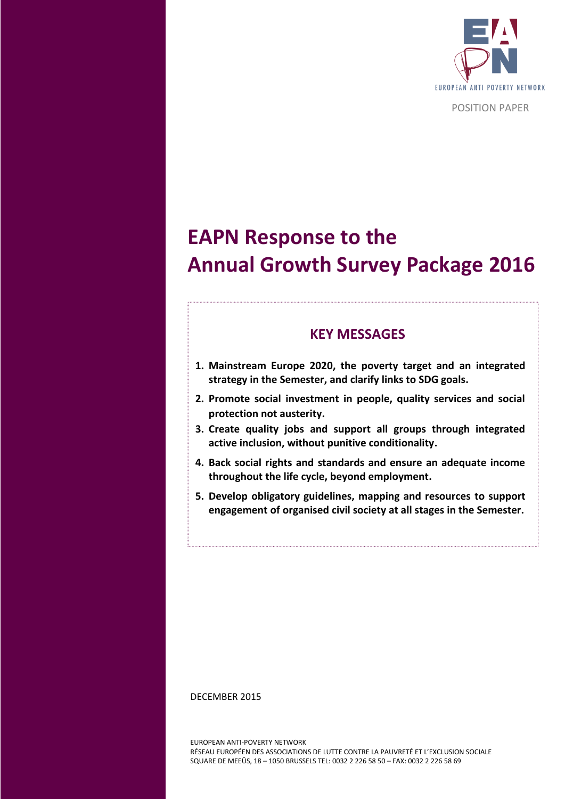

POSITION PAPER

# **EAPN Response to the Annual Growth Survey Package 2016**

# **KEY MESSAGES**

- **1. Mainstream Europe 2020, the poverty target and an integrated strategy in the Semester, and clarify links to SDG goals.**
- **2. Promote social investment in people, quality services and social protection not austerity.**
- **3. Create quality jobs and support all groups through integrated active inclusion, without punitive conditionality.**
- **4. Back social rights and standards and ensure an adequate income throughout the life cycle, beyond employment.**
- **5. Develop obligatory guidelines, mapping and resources to support engagement of organised civil society at all stages in the Semester.**

#### DECEMBER 2015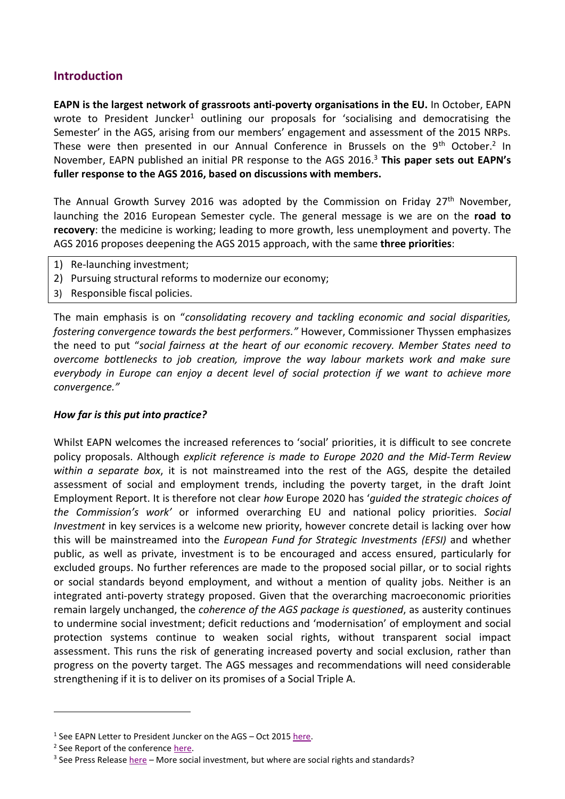## **Introduction**

**EAPN is the largest network of grassroots anti-poverty organisations in the EU.** In October, EAPN wrote to President Juncker<sup>1</sup> outlining our proposals for 'socialising and democratising the Semester' in the AGS, arising from our members' engagement and assessment of the 2015 NRPs. These were then presented in our Annual Conference in Brussels on the 9<sup>th</sup> October.<sup>2</sup> In November, EAPN published an initial PR response to the AGS 2016. <sup>3</sup> **This paper sets out EAPN's fuller response to the AGS 2016, based on discussions with members.**

The Annual Growth Survey 2016 was adopted by the Commission on Friday 27<sup>th</sup> November, launching the 2016 European Semester cycle. The general message is we are on the **road to recovery**: the medicine is working; leading to more growth, less unemployment and poverty. The AGS 2016 proposes deepening the AGS 2015 approach, with the same **three priorities**:

- 1) Re-launching investment;
- 2) Pursuing structural reforms to modernize our economy;
- 3) Responsible fiscal policies.

The main emphasis is on "*consolidating recovery and tackling economic and social disparities, fostering convergence towards the best performers."* However, Commissioner Thyssen emphasizes the need to put "*social fairness at the heart of our economic recovery. Member States need to overcome bottlenecks to job creation, improve the way labour markets work and make sure everybody in Europe can enjoy a decent level of social protection if we want to achieve more convergence."*

#### *How far is this put into practice?*

Whilst EAPN welcomes the increased references to 'social' priorities, it is difficult to see concrete policy proposals. Although *explicit reference is made to Europe 2020 and the Mid-Term Review within a separate box*, it is not mainstreamed into the rest of the AGS, despite the detailed assessment of social and employment trends, including the poverty target, in the draft Joint Employment Report. It is therefore not clear *how* Europe 2020 has '*guided the strategic choices of the Commission's work'* or informed overarching EU and national policy priorities. *Social Investment* in key services is a welcome new priority, however concrete detail is lacking over how this will be mainstreamed into the *European Fund for Strategic Investments (EFSI)* and whether public, as well as private, investment is to be encouraged and access ensured, particularly for excluded groups. No further references are made to the proposed social pillar, or to social rights or social standards beyond employment, and without a mention of quality jobs. Neither is an integrated anti-poverty strategy proposed. Given that the overarching macroeconomic priorities remain largely unchanged, the *coherence of the AGS package is questioned*, as austerity continues to undermine social investment; deficit reductions and 'modernisation' of employment and social protection systems continue to weaken social rights, without transparent social impact assessment. This runs the risk of generating increased poverty and social exclusion, rather than progress on the poverty target. The AGS messages and recommendations will need considerable strengthening if it is to deliver on its promises of a Social Triple A.

1

<sup>&</sup>lt;sup>1</sup> See EAPN Letter to President Juncker on the AGS - Oct 2015 [here.](http://www.eapn.eu/en/news-and-publications/news/eapn-news/economic-governance-must-deliver-on-social-objectives-with-real-participation-from-civil-society)

<sup>&</sup>lt;sup>2</sup> See Report of the conference [here.](http://www.eapn.eu/en/news-and-publications/publications/eapn-position-papers-and-reports/2015eapn-annual-policy-conference-report-is-out)

<sup>&</sup>lt;sup>3</sup> See Press Release <u>here</u> – More social investment, but where are social rights and standards?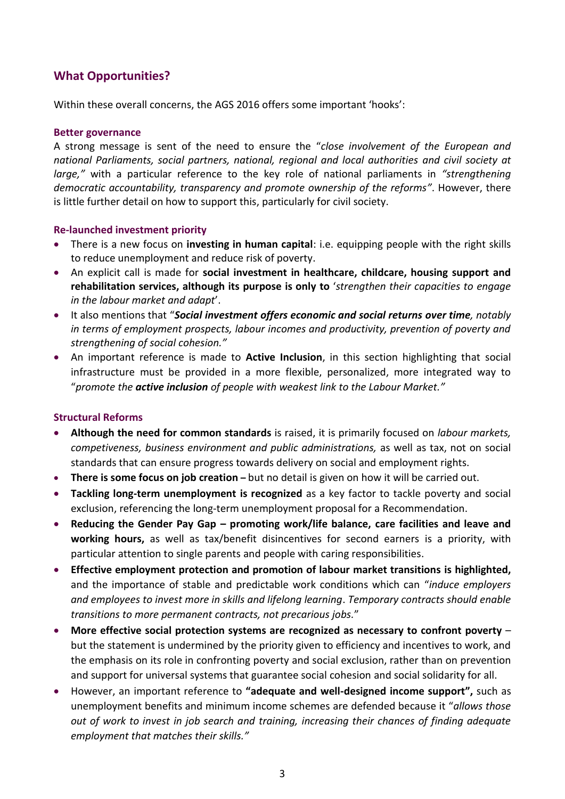## **What Opportunities?**

Within these overall concerns, the AGS 2016 offers some important 'hooks':

#### **Better governance**

A strong message is sent of the need to ensure the "*close involvement of the European and national Parliaments, social partners, national, regional and local authorities and civil society at large,"* with a particular reference to the key role of national parliaments in *"strengthening democratic accountability, transparency and promote ownership of the reforms"*. However, there is little further detail on how to support this, particularly for civil society.

#### **Re-launched investment priority**

- There is a new focus on **investing in human capital**: i.e. equipping people with the right skills to reduce unemployment and reduce risk of poverty.
- An explicit call is made for **social investment in healthcare, childcare, housing support and rehabilitation services, although its purpose is only to** '*strengthen their capacities to engage in the labour market and adapt*'.
- It also mentions that "*Social investment offers economic and social returns over time, notably in terms of employment prospects, labour incomes and productivity, prevention of poverty and strengthening of social cohesion."*
- An important reference is made to **Active Inclusion**, in this section highlighting that social infrastructure must be provided in a more flexible, personalized, more integrated way to "*promote the active inclusion of people with weakest link to the Labour Market."*

#### **Structural Reforms**

- **Although the need for common standards** is raised, it is primarily focused on *labour markets, competiveness, business environment and public administrations,* as well as tax, not on social standards that can ensure progress towards delivery on social and employment rights.
- **There is some focus on job creation –** but no detail is given on how it will be carried out.
- **Tackling long-term unemployment is recognized** as a key factor to tackle poverty and social exclusion, referencing the long-term unemployment proposal for a Recommendation.
- **Reducing the Gender Pay Gap – promoting work/life balance, care facilities and leave and working hours,** as well as tax/benefit disincentives for second earners is a priority, with particular attention to single parents and people with caring responsibilities.
- **Effective employment protection and promotion of labour market transitions is highlighted,**  and the importance of stable and predictable work conditions which can "*induce employers and employees to invest more in skills and lifelong learning*. *Temporary contracts should enable transitions to more permanent contracts, not precarious jobs.*"
- **More effective social protection systems are recognized as necessary to confront poverty**  but the statement is undermined by the priority given to efficiency and incentives to work, and the emphasis on its role in confronting poverty and social exclusion, rather than on prevention and support for universal systems that guarantee social cohesion and social solidarity for all.
- However, an important reference to **"adequate and well-designed income support",** such as unemployment benefits and minimum income schemes are defended because it "*allows those out of work to invest in job search and training, increasing their chances of finding adequate employment that matches their skills."*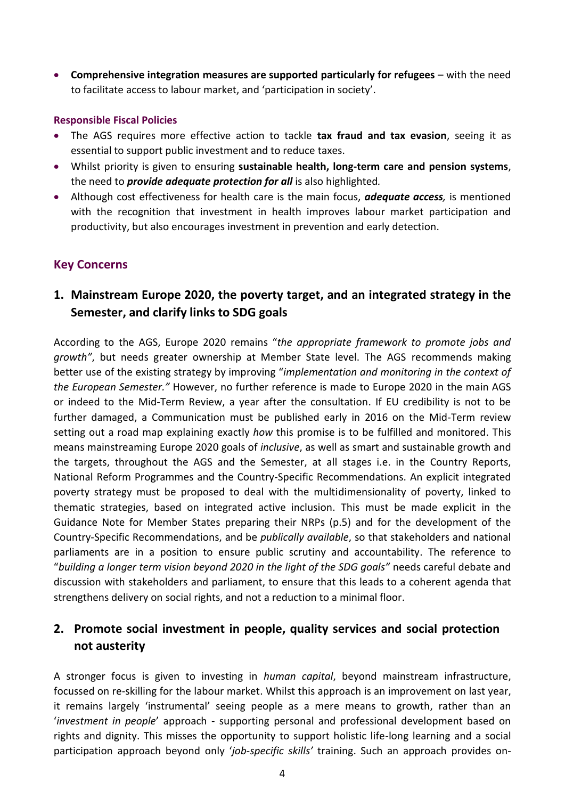**Comprehensive integration measures are supported particularly for refugees** – with the need to facilitate access to labour market, and 'participation in society'.

### **Responsible Fiscal Policies**

- The AGS requires more effective action to tackle **tax fraud and tax evasion**, seeing it as essential to support public investment and to reduce taxes.
- Whilst priority is given to ensuring **sustainable health, long-term care and pension systems**, the need to *provide adequate protection for all* is also highlighted*.*
- Although cost effectiveness for health care is the main focus, *adequate access,* is mentioned with the recognition that investment in health improves labour market participation and productivity, but also encourages investment in prevention and early detection.

## **Key Concerns**

# **1. Mainstream Europe 2020, the poverty target, and an integrated strategy in the Semester, and clarify links to SDG goals**

According to the AGS, Europe 2020 remains "*the appropriate framework to promote jobs and growth"*, but needs greater ownership at Member State level. The AGS recommends making better use of the existing strategy by improving "*implementation and monitoring in the context of the European Semester."* However, no further reference is made to Europe 2020 in the main AGS or indeed to the Mid-Term Review, a year after the consultation. If EU credibility is not to be further damaged, a Communication must be published early in 2016 on the Mid-Term review setting out a road map explaining exactly *how* this promise is to be fulfilled and monitored. This means mainstreaming Europe 2020 goals of *inclusive*, as well as smart and sustainable growth and the targets, throughout the AGS and the Semester, at all stages i.e. in the Country Reports, National Reform Programmes and the Country-Specific Recommendations. An explicit integrated poverty strategy must be proposed to deal with the multidimensionality of poverty, linked to thematic strategies, based on integrated active inclusion. This must be made explicit in the Guidance Note for Member States preparing their NRPs (p.5) and for the development of the Country-Specific Recommendations, and be *publically available*, so that stakeholders and national parliaments are in a position to ensure public scrutiny and accountability. The reference to "*building a longer term vision beyond 2020 in the light of the SDG goals"* needs careful debate and discussion with stakeholders and parliament, to ensure that this leads to a coherent agenda that strengthens delivery on social rights, and not a reduction to a minimal floor.

# **2. Promote social investment in people, quality services and social protection not austerity**

A stronger focus is given to investing in *human capital*, beyond mainstream infrastructure, focussed on re-skilling for the labour market. Whilst this approach is an improvement on last year, it remains largely 'instrumental' seeing people as a mere means to growth, rather than an '*investment in people*' approach - supporting personal and professional development based on rights and dignity. This misses the opportunity to support holistic life-long learning and a social participation approach beyond only '*job-specific skills'* training. Such an approach provides on-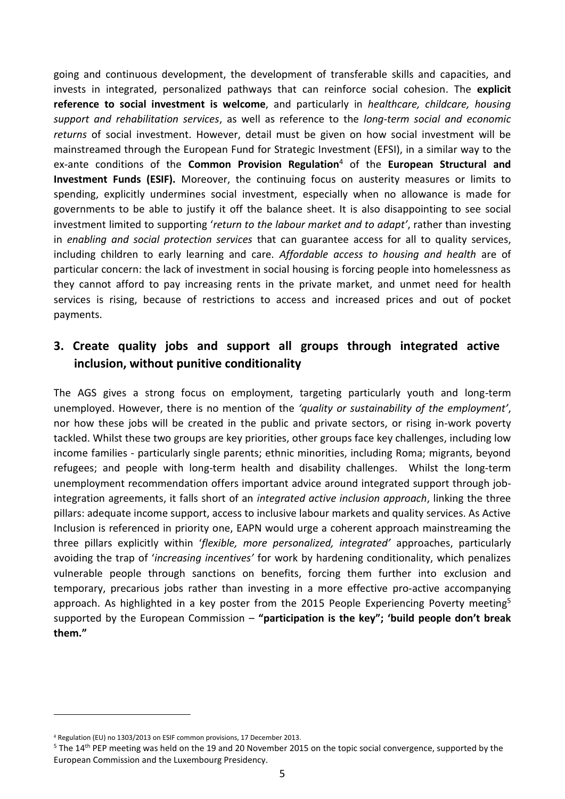going and continuous development, the development of transferable skills and capacities, and invests in integrated, personalized pathways that can reinforce social cohesion. The **explicit reference to social investment is welcome**, and particularly in *healthcare, childcare, housing support and rehabilitation services*, as well as reference to the *long-term social and economic returns* of social investment. However, detail must be given on how social investment will be mainstreamed through the European Fund for Strategic Investment (EFSI), in a similar way to the ex-ante conditions of the **Common Provision Regulation**<sup>4</sup> of the **European Structural and Investment Funds (ESIF).** Moreover, the continuing focus on austerity measures or limits to spending, explicitly undermines social investment, especially when no allowance is made for governments to be able to justify it off the balance sheet. It is also disappointing to see social investment limited to supporting '*return to the labour market and to adapt'*, rather than investing in *enabling and social protection services* that can guarantee access for all to quality services, including children to early learning and care. *Affordable access to housing and health* are of particular concern: the lack of investment in social housing is forcing people into homelessness as they cannot afford to pay increasing rents in the private market, and unmet need for health services is rising, because of restrictions to access and increased prices and out of pocket payments.

# **3. Create quality jobs and support all groups through integrated active inclusion, without punitive conditionality**

The AGS gives a strong focus on employment, targeting particularly youth and long-term unemployed. However, there is no mention of the *'quality or sustainability of the employment'*, nor how these jobs will be created in the public and private sectors, or rising in-work poverty tackled. Whilst these two groups are key priorities, other groups face key challenges, including low income families - particularly single parents; ethnic minorities, including Roma; migrants, beyond refugees; and people with long-term health and disability challenges. Whilst the long-term unemployment recommendation offers important advice around integrated support through jobintegration agreements, it falls short of an *integrated active inclusion approach*, linking the three pillars: adequate income support, access to inclusive labour markets and quality services. As Active Inclusion is referenced in priority one, EAPN would urge a coherent approach mainstreaming the three pillars explicitly within '*flexible, more personalized, integrated'* approaches, particularly avoiding the trap of '*increasing incentives'* for work by hardening conditionality, which penalizes vulnerable people through sanctions on benefits, forcing them further into exclusion and temporary, precarious jobs rather than investing in a more effective pro-active accompanying approach. As highlighted in a key poster from the 2015 People Experiencing Poverty meeting<sup>5</sup> supported by the European Commission – **"participation is the key"; 'build people don't break them."**

<u>.</u>

<sup>4</sup> Regulation (EU) no 1303/2013 on ESIF common provisions, 17 December 2013.

<sup>&</sup>lt;sup>5</sup> The 14<sup>th</sup> PEP meeting was held on the 19 and 20 November 2015 on the topic social convergence, supported by the European Commission and the Luxembourg Presidency.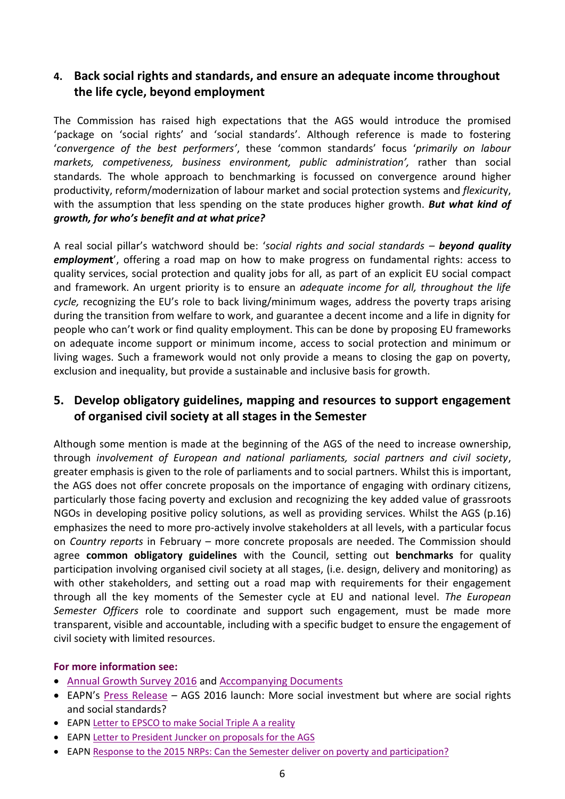# **4. Back social rights and standards, and ensure an adequate income throughout the life cycle, beyond employment**

The Commission has raised high expectations that the AGS would introduce the promised 'package on 'social rights' and 'social standards'. Although reference is made to fostering '*convergence of the best performers'*, these 'common standards' focus '*primarily on labour markets, competiveness, business environment, public administration',* rather than social standards*.* The whole approach to benchmarking is focussed on convergence around higher productivity, reform/modernization of labour market and social protection systems and *flexicurit*y, with the assumption that less spending on the state produces higher growth. *But what kind of growth, for who's benefit and at what price?*

A real social pillar's watchword should be: '*social rights and social standards – beyond quality employmen***t**', offering a road map on how to make progress on fundamental rights: access to quality services, social protection and quality jobs for all, as part of an explicit EU social compact and framework. An urgent priority is to ensure an *adequate income for all, throughout the life cycle,* recognizing the EU's role to back living/minimum wages, address the poverty traps arising during the transition from welfare to work, and guarantee a decent income and a life in dignity for people who can't work or find quality employment. This can be done by proposing EU frameworks on adequate income support or minimum income, access to social protection and minimum or living wages. Such a framework would not only provide a means to closing the gap on poverty, exclusion and inequality, but provide a sustainable and inclusive basis for growth.

# **5. Develop obligatory guidelines, mapping and resources to support engagement of organised civil society at all stages in the Semester**

Although some mention is made at the beginning of the AGS of the need to increase ownership, through *involvement of European and national parliaments, social partners and civil society*, greater emphasis is given to the role of parliaments and to social partners. Whilst this is important, the AGS does not offer concrete proposals on the importance of engaging with ordinary citizens, particularly those facing poverty and exclusion and recognizing the key added value of grassroots NGOs in developing positive policy solutions, as well as providing services. Whilst the AGS (p.16) emphasizes the need to more pro-actively involve stakeholders at all levels, with a particular focus on *Country reports* in February – more concrete proposals are needed. The Commission should agree **common obligatory guidelines** with the Council, setting out **benchmarks** for quality participation involving organised civil society at all stages, (i.e. design, delivery and monitoring) as with other stakeholders, and setting out a road map with requirements for their engagement through all the key moments of the Semester cycle at EU and national level. *The European Semester Officers* role to coordinate and support such engagement, must be made more transparent, visible and accountable, including with a specific budget to ensure the engagement of civil society with limited resources.

### **For more information see:**

- [Annual Growth Survey 2016](http://ec.europa.eu/europe2020/pdf/2016/ags2016_annual_growth_survey.pdf) and [Accompanying Documents](http://ec.europa.eu/europe2020/making-it-happen/annual-growth-surveys/index_en.htm)
- EAPN's [Press Release](http://www.eapn.eu/en/news-and-publications/press-room/eapn-press-releases/more-social-investment-but-where-are-social-rights-and-standards) AGS 2016 launch: More social investment but where are social rights and social standards?
- EAPN [Letter to EPSCO to make Social Triple A a reality](http://www.eapn.eu/en/news-and-publications/news/eapn-news/eapn-calls-on-employment-and-social-affairs-ministers-to-make-progress-on-social-triple-a)
- EAPN [Letter to President Juncker on proposals for the AGS](http://www.eapn.eu/en/news-and-publications/news/eapn-news/economic-governance-must-deliver-on-social-objectives-with-real-participation-from-civil-society)
- EAPN [Response to the 2015 NRPs: Can the Semester deliver on poverty and participation?](http://www.eapn.eu/images/stories/docs/EAPN-position-papers-and-reports/2015-EAPN-NRP-Report-web.pdf)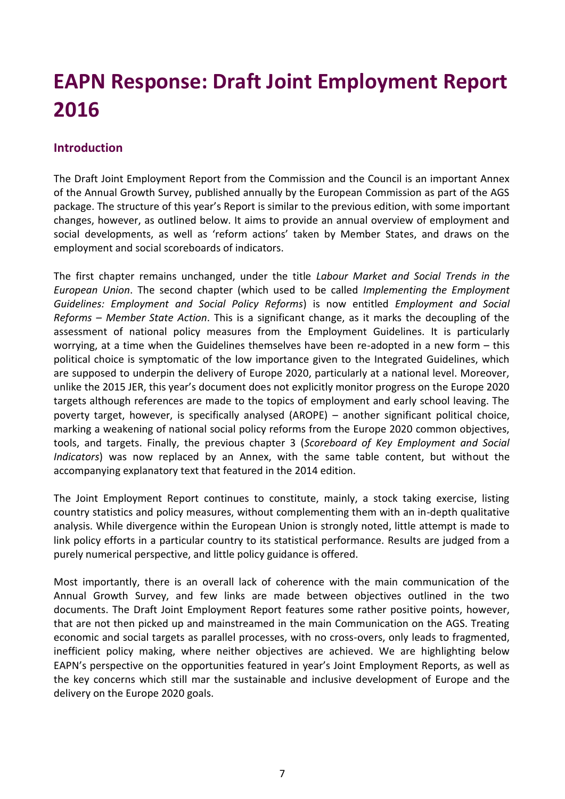# **EAPN Response: Draft Joint Employment Report 2016**

## **Introduction**

The Draft Joint Employment Report from the Commission and the Council is an important Annex of the Annual Growth Survey, published annually by the European Commission as part of the AGS package. The structure of this year's Report is similar to the previous edition, with some important changes, however, as outlined below. It aims to provide an annual overview of employment and social developments, as well as 'reform actions' taken by Member States, and draws on the employment and social scoreboards of indicators.

The first chapter remains unchanged, under the title *Labour Market and Social Trends in the European Union*. The second chapter (which used to be called *Implementing the Employment Guidelines: Employment and Social Policy Reforms*) is now entitled *Employment and Social Reforms – Member State Action*. This is a significant change, as it marks the decoupling of the assessment of national policy measures from the Employment Guidelines. It is particularly worrying, at a time when the Guidelines themselves have been re-adopted in a new form – this political choice is symptomatic of the low importance given to the Integrated Guidelines, which are supposed to underpin the delivery of Europe 2020, particularly at a national level. Moreover, unlike the 2015 JER, this year's document does not explicitly monitor progress on the Europe 2020 targets although references are made to the topics of employment and early school leaving. The poverty target, however, is specifically analysed (AROPE) – another significant political choice, marking a weakening of national social policy reforms from the Europe 2020 common objectives, tools, and targets. Finally, the previous chapter 3 (*Scoreboard of Key Employment and Social Indicators*) was now replaced by an Annex, with the same table content, but without the accompanying explanatory text that featured in the 2014 edition.

The Joint Employment Report continues to constitute, mainly, a stock taking exercise, listing country statistics and policy measures, without complementing them with an in-depth qualitative analysis. While divergence within the European Union is strongly noted, little attempt is made to link policy efforts in a particular country to its statistical performance. Results are judged from a purely numerical perspective, and little policy guidance is offered.

Most importantly, there is an overall lack of coherence with the main communication of the Annual Growth Survey, and few links are made between objectives outlined in the two documents. The Draft Joint Employment Report features some rather positive points, however, that are not then picked up and mainstreamed in the main Communication on the AGS. Treating economic and social targets as parallel processes, with no cross-overs, only leads to fragmented, inefficient policy making, where neither objectives are achieved. We are highlighting below EAPN's perspective on the opportunities featured in year's Joint Employment Reports, as well as the key concerns which still mar the sustainable and inclusive development of Europe and the delivery on the Europe 2020 goals.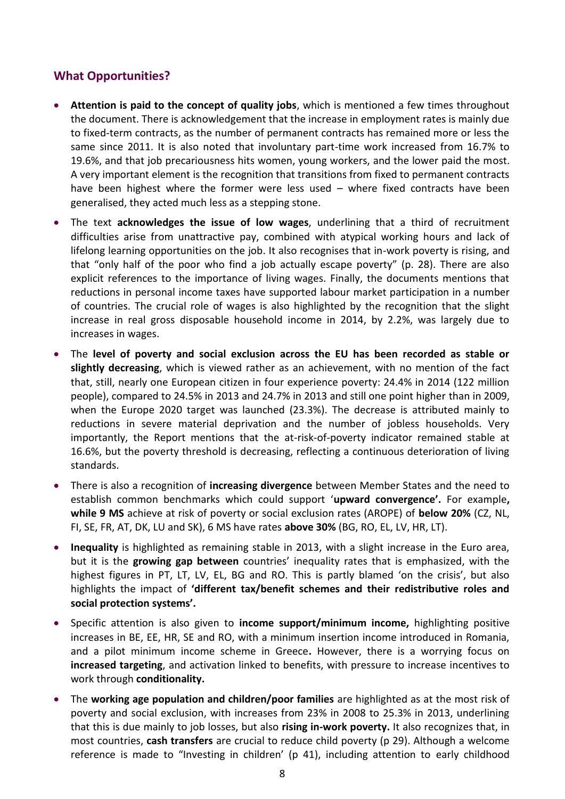## **What Opportunities?**

- **Attention is paid to the concept of quality jobs**, which is mentioned a few times throughout the document. There is acknowledgement that the increase in employment rates is mainly due to fixed-term contracts, as the number of permanent contracts has remained more or less the same since 2011. It is also noted that involuntary part-time work increased from 16.7% to 19.6%, and that job precariousness hits women, young workers, and the lower paid the most. A very important element is the recognition that transitions from fixed to permanent contracts have been highest where the former were less used – where fixed contracts have been generalised, they acted much less as a stepping stone.
- The text **acknowledges the issue of low wages**, underlining that a third of recruitment difficulties arise from unattractive pay, combined with atypical working hours and lack of lifelong learning opportunities on the job. It also recognises that in-work poverty is rising, and that "only half of the poor who find a job actually escape poverty" (p. 28). There are also explicit references to the importance of living wages. Finally, the documents mentions that reductions in personal income taxes have supported labour market participation in a number of countries. The crucial role of wages is also highlighted by the recognition that the slight increase in real gross disposable household income in 2014, by 2.2%, was largely due to increases in wages.
- The **level of poverty and social exclusion across the EU has been recorded as stable or slightly decreasing**, which is viewed rather as an achievement, with no mention of the fact that, still, nearly one European citizen in four experience poverty: 24.4% in 2014 (122 million people), compared to 24.5% in 2013 and 24.7% in 2013 and still one point higher than in 2009, when the Europe 2020 target was launched (23.3%). The decrease is attributed mainly to reductions in severe material deprivation and the number of jobless households. Very importantly, the Report mentions that the at-risk-of-poverty indicator remained stable at 16.6%, but the poverty threshold is decreasing, reflecting a continuous deterioration of living standards.
- There is also a recognition of **increasing divergence** between Member States and the need to establish common benchmarks which could support '**upward convergence'.** For example**, while 9 MS** achieve at risk of poverty or social exclusion rates (AROPE) of **below 20%** (CZ, NL, FI, SE, FR, AT, DK, LU and SK), 6 MS have rates **above 30%** (BG, RO, EL, LV, HR, LT).
- **Inequality** is highlighted as remaining stable in 2013, with a slight increase in the Euro area, but it is the **growing gap between** countries' inequality rates that is emphasized, with the highest figures in PT, LT, LV, EL, BG and RO. This is partly blamed 'on the crisis', but also highlights the impact of **'different tax/benefit schemes and their redistributive roles and social protection systems'.**
- Specific attention is also given to **income support/minimum income,** highlighting positive increases in BE, EE, HR, SE and RO, with a minimum insertion income introduced in Romania, and a pilot minimum income scheme in Greece**.** However, there is a worrying focus on **increased targeting**, and activation linked to benefits, with pressure to increase incentives to work through **conditionality.**
- The **working age population and children/poor families** are highlighted as at the most risk of poverty and social exclusion, with increases from 23% in 2008 to 25.3% in 2013, underlining that this is due mainly to job losses, but also **rising in-work poverty.** It also recognizes that, in most countries, **cash transfers** are crucial to reduce child poverty (p 29). Although a welcome reference is made to "Investing in children' (p 41), including attention to early childhood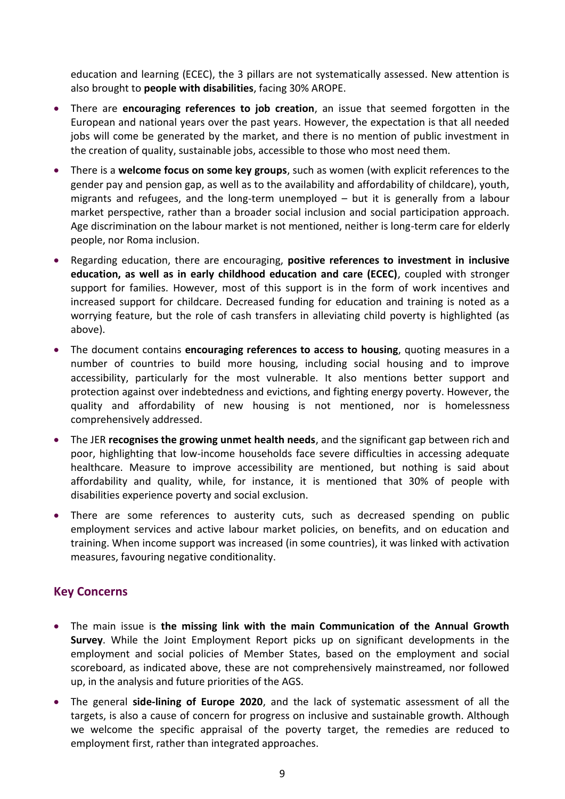education and learning (ECEC), the 3 pillars are not systematically assessed. New attention is also brought to **people with disabilities**, facing 30% AROPE.

- There are **encouraging references to job creation**, an issue that seemed forgotten in the European and national years over the past years. However, the expectation is that all needed jobs will come be generated by the market, and there is no mention of public investment in the creation of quality, sustainable jobs, accessible to those who most need them.
- There is a **welcome focus on some key groups**, such as women (with explicit references to the gender pay and pension gap, as well as to the availability and affordability of childcare), youth, migrants and refugees, and the long-term unemployed – but it is generally from a labour market perspective, rather than a broader social inclusion and social participation approach. Age discrimination on the labour market is not mentioned, neither is long-term care for elderly people, nor Roma inclusion.
- Regarding education, there are encouraging, **positive references to investment in inclusive education, as well as in early childhood education and care (ECEC)**, coupled with stronger support for families. However, most of this support is in the form of work incentives and increased support for childcare. Decreased funding for education and training is noted as a worrying feature, but the role of cash transfers in alleviating child poverty is highlighted (as above).
- The document contains **encouraging references to access to housing**, quoting measures in a number of countries to build more housing, including social housing and to improve accessibility, particularly for the most vulnerable. It also mentions better support and protection against over indebtedness and evictions, and fighting energy poverty. However, the quality and affordability of new housing is not mentioned, nor is homelessness comprehensively addressed.
- The JER **recognises the growing unmet health needs**, and the significant gap between rich and poor, highlighting that low-income households face severe difficulties in accessing adequate healthcare. Measure to improve accessibility are mentioned, but nothing is said about affordability and quality, while, for instance, it is mentioned that 30% of people with disabilities experience poverty and social exclusion.
- There are some references to austerity cuts, such as decreased spending on public employment services and active labour market policies, on benefits, and on education and training. When income support was increased (in some countries), it was linked with activation measures, favouring negative conditionality.

## **Key Concerns**

- The main issue is **the missing link with the main Communication of the Annual Growth Survey**. While the Joint Employment Report picks up on significant developments in the employment and social policies of Member States, based on the employment and social scoreboard, as indicated above, these are not comprehensively mainstreamed, nor followed up, in the analysis and future priorities of the AGS.
- The general **side-lining of Europe 2020**, and the lack of systematic assessment of all the targets, is also a cause of concern for progress on inclusive and sustainable growth. Although we welcome the specific appraisal of the poverty target, the remedies are reduced to employment first, rather than integrated approaches.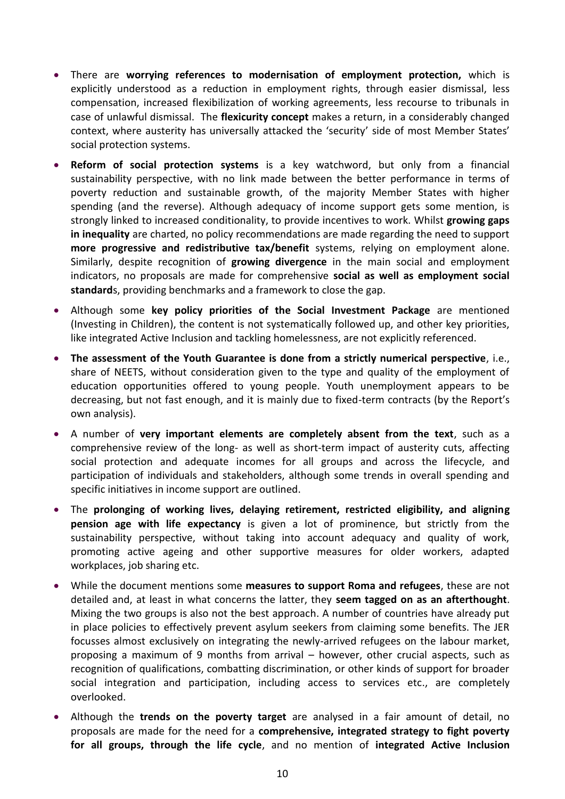- There are **worrying references to modernisation of employment protection,** which is explicitly understood as a reduction in employment rights, through easier dismissal, less compensation, increased flexibilization of working agreements, less recourse to tribunals in case of unlawful dismissal. The **flexicurity concept** makes a return, in a considerably changed context, where austerity has universally attacked the 'security' side of most Member States' social protection systems.
- **Reform of social protection systems** is a key watchword, but only from a financial sustainability perspective, with no link made between the better performance in terms of poverty reduction and sustainable growth, of the majority Member States with higher spending (and the reverse). Although adequacy of income support gets some mention, is strongly linked to increased conditionality, to provide incentives to work. Whilst **growing gaps in inequality** are charted, no policy recommendations are made regarding the need to support **more progressive and redistributive tax/benefit** systems, relying on employment alone. Similarly, despite recognition of **growing divergence** in the main social and employment indicators, no proposals are made for comprehensive **social as well as employment social standard**s, providing benchmarks and a framework to close the gap.
- Although some **key policy priorities of the Social Investment Package** are mentioned (Investing in Children), the content is not systematically followed up, and other key priorities, like integrated Active Inclusion and tackling homelessness, are not explicitly referenced.
- **The assessment of the Youth Guarantee is done from a strictly numerical perspective**, i.e., share of NEETS, without consideration given to the type and quality of the employment of education opportunities offered to young people. Youth unemployment appears to be decreasing, but not fast enough, and it is mainly due to fixed-term contracts (by the Report's own analysis).
- A number of **very important elements are completely absent from the text**, such as a comprehensive review of the long- as well as short-term impact of austerity cuts, affecting social protection and adequate incomes for all groups and across the lifecycle, and participation of individuals and stakeholders, although some trends in overall spending and specific initiatives in income support are outlined.
- The **prolonging of working lives, delaying retirement, restricted eligibility, and aligning pension age with life expectancy** is given a lot of prominence, but strictly from the sustainability perspective, without taking into account adequacy and quality of work, promoting active ageing and other supportive measures for older workers, adapted workplaces, job sharing etc.
- While the document mentions some **measures to support Roma and refugees**, these are not detailed and, at least in what concerns the latter, they **seem tagged on as an afterthought**. Mixing the two groups is also not the best approach. A number of countries have already put in place policies to effectively prevent asylum seekers from claiming some benefits. The JER focusses almost exclusively on integrating the newly-arrived refugees on the labour market, proposing a maximum of 9 months from arrival – however, other crucial aspects, such as recognition of qualifications, combatting discrimination, or other kinds of support for broader social integration and participation, including access to services etc., are completely overlooked.
- Although the **trends on the poverty target** are analysed in a fair amount of detail, no proposals are made for the need for a **comprehensive, integrated strategy to fight poverty for all groups, through the life cycle**, and no mention of **integrated Active Inclusion**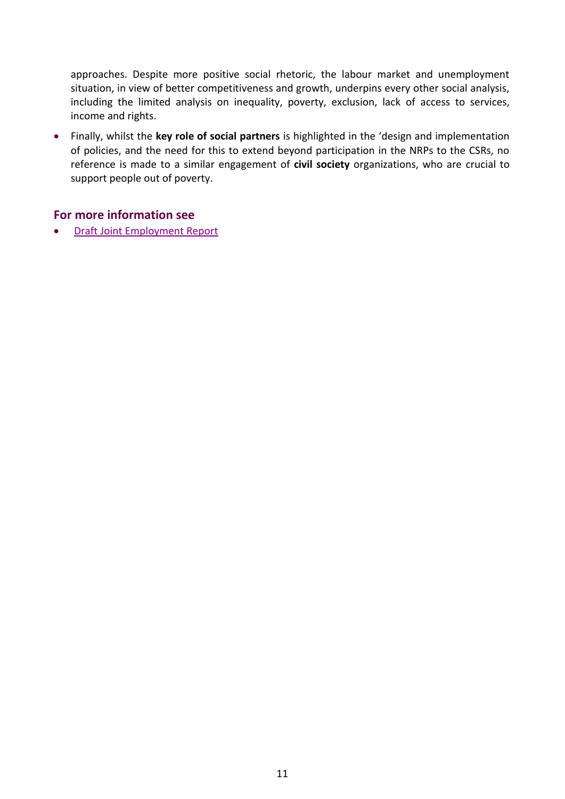approaches. Despite more positive social rhetoric, the labour market and unemployment situation, in view of better competitiveness and growth, underpins every other social analysis, including the limited analysis on inequality, poverty, exclusion, lack of access to services, income and rights.

 Finally, whilst the **key role of social partners** is highlighted in the 'design and implementation of policies, and the need for this to extend beyond participation in the NRPs to the CSRs, no reference is made to a similar engagement of **civil society** organizations, who are crucial to support people out of poverty.

## **For more information see**

[Draft Joint Employment Report](http://ec.europa.eu/europe2020/pdf/2016/ags2016_draft_joint_employment_report_en.pdf)